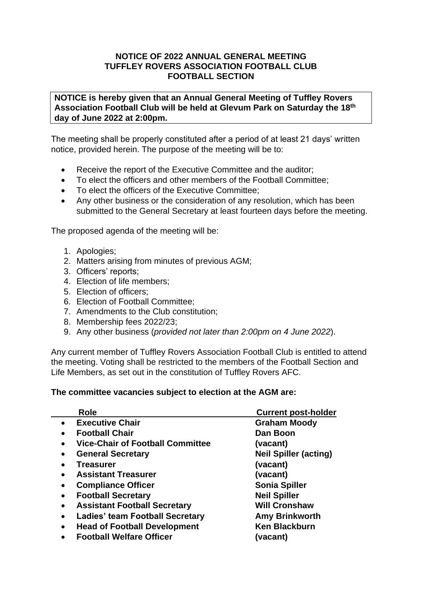## **NOTICE OF 2022 ANNUAL GENERAL MEETING TUFFLEY ROVERS ASSOCIATION FOOTBALL CLUB FOOTBALL SECTION**

**NOTICE is hereby given that an Annual General Meeting of Tuffley Rovers Association Football Club will be held at Glevum Park on Saturday the 18th day of June 2022 at 2:00pm.**

The meeting shall be properly constituted after a period of at least 21 days' written notice, provided herein. The purpose of the meeting will be to:

- Receive the report of the Executive Committee and the auditor:
- To elect the officers and other members of the Football Committee;
- To elect the officers of the Executive Committee;
- Any other business or the consideration of any resolution, which has been submitted to the General Secretary at least fourteen days before the meeting.

The proposed agenda of the meeting will be:

- 1. Apologies;
- 2. Matters arising from minutes of previous AGM;
- 3. Officers' reports;
- 4. Election of life members;
- 5. Election of officers;
- 6. Election of Football Committee;
- 7. Amendments to the Club constitution;
- 8. Membership fees 2022/23;
- 9. Any other business (*provided not later than 2:00pm on 4 June 2022*).

Any current member of Tuffley Rovers Association Football Club is entitled to attend the meeting. Voting shall be restricted to the members of the Football Section and Life Members, as set out in the constitution of Tuffley Rovers AFC.

## **The committee vacancies subject to election at the AGM are:**

| <b>Role</b>                                          | <b>Current post-holder</b>   |
|------------------------------------------------------|------------------------------|
| <b>Executive Chair</b>                               | <b>Graham Moody</b>          |
| <b>Football Chair</b><br>$\bullet$                   | Dan Boon                     |
| <b>Vice-Chair of Football Committee</b><br>$\bullet$ | (vacant)                     |
| <b>General Secretary</b><br>$\bullet$                | <b>Neil Spiller (acting)</b> |
| <b>Treasurer</b><br>$\bullet$                        | (vacant)                     |
| <b>Assistant Treasurer</b>                           | (vacant)                     |
| <b>Compliance Officer</b><br>$\bullet$               | <b>Sonia Spiller</b>         |
| <b>Football Secretary</b><br>$\bullet$               | <b>Neil Spiller</b>          |
| <b>Assistant Football Secretary</b><br>$\bullet$     | <b>Will Cronshaw</b>         |
| <b>Ladies' team Football Secretary</b><br>$\bullet$  | <b>Amy Brinkworth</b>        |
| <b>Head of Football Development</b><br>$\bullet$     | <b>Ken Blackburn</b>         |
| <b>Football Welfare Officer</b><br>$\bullet$         | (vacant)                     |